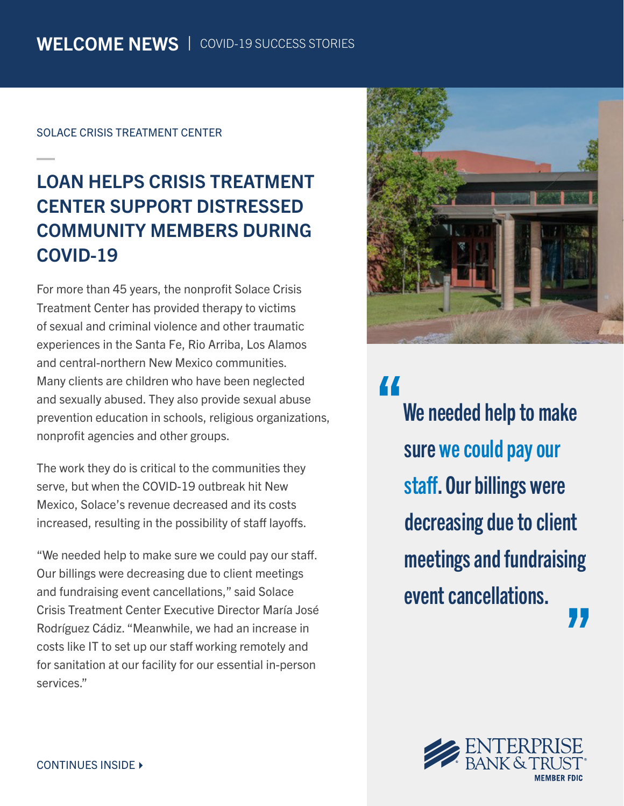#### SOLACE CRISIS TREATMENT CENTER

## LOAN HELPS CRISIS TREATMENT CENTER SUPPORT DISTRESSED COMMUNITY MEMBERS DURING COVID-19

For more than 45 years, the nonprofit Solace Crisis Treatment Center has provided therapy to victims of sexual and criminal violence and other traumatic experiences in the Santa Fe, Rio Arriba, Los Alamos and central-northern New Mexico communities. Many clients are children who have been neglected and sexually abused. They also provide sexual abuse prevention education in schools, religious organizations, nonprofit agencies and other groups.

The work they do is critical to the communities they serve, but when the COVID-19 outbreak hit New Mexico, Solace's revenue decreased and its costs increased, resulting in the possibility of staff layoffs.

"We needed help to make sure we could pay our staff. Our billings were decreasing due to client meetings and fundraising event cancellations," said Solace Crisis Treatment Center Executive Director María José Rodríguez Cádiz. "Meanwhile, we had an increase in costs like IT to set up our staff working remotely and for sanitation at our facility for our essential in-person services."



"

We needed help to make sure we could pay our staff. Our billings were decreasing due to client meetings and fundraising event cancellations. 77

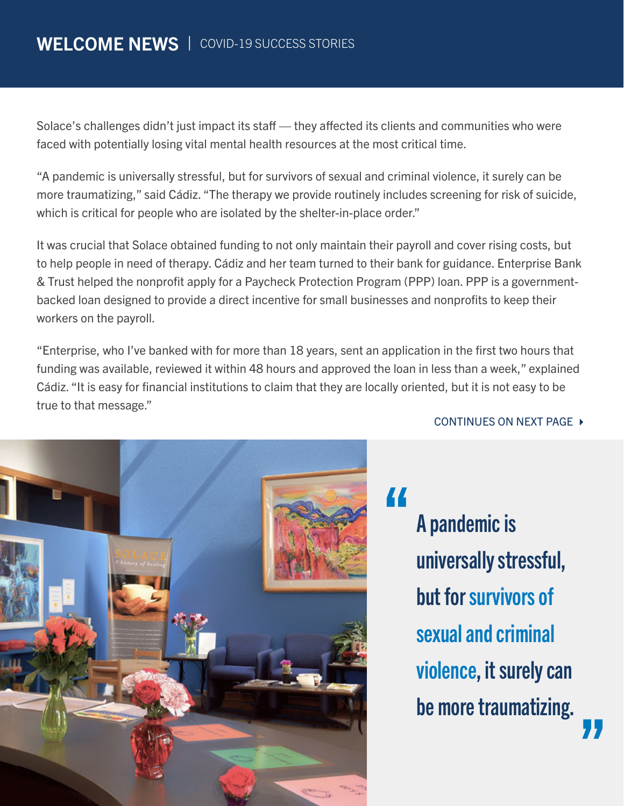Solace's challenges didn't just impact its staff — they affected its clients and communities who were faced with potentially losing vital mental health resources at the most critical time.

"A pandemic is universally stressful, but for survivors of sexual and criminal violence, it surely can be more traumatizing," said Cádiz. "The therapy we provide routinely includes screening for risk of suicide, which is critical for people who are isolated by the shelter-in-place order."

It was crucial that Solace obtained funding to not only maintain their payroll and cover rising costs, but to help people in need of therapy. Cádiz and her team turned to their bank for guidance. Enterprise Bank & Trust helped the nonprofit apply for a Paycheck Protection Program (PPP) loan. PPP is a governmentbacked loan designed to provide a direct incentive for small businesses and nonprofits to keep their workers on the payroll.

"Enterprise, who I've banked with for more than 18 years, sent an application in the first two hours that funding was available, reviewed it within 48 hours and approved the loan in less than a week," explained Cádiz. "It is easy for financial institutions to claim that they are locally oriented, but it is not easy to be true to that message."

### CONTINUES ON NEXT PAGE ▶



A pandemic is universally stressful, but for survivors of sexual and criminal violence, it surely can be more traumatizing.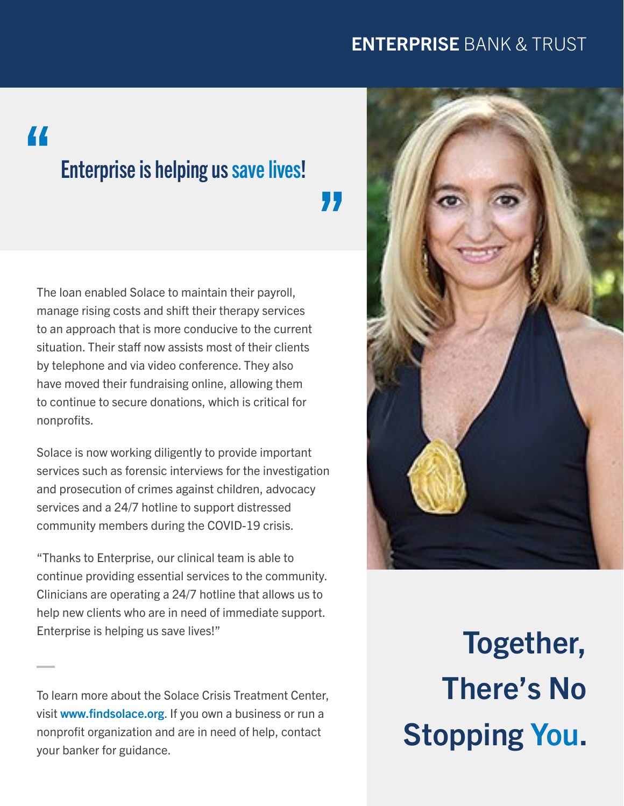### ENTERPRISE BANK & TRUST

# "

## Enterprise is helping us save lives!

"

The loan enabled Solace to maintain their payroll, manage rising costs and shift their therapy services to an approach that is more conducive to the current situation. Their staff now assists most of their clients by telephone and via video conference. They also have moved their fundraising online, allowing them to continue to secure donations, which is critical for nonprofits.

Solace is now working diligently to provide important services such as forensic interviews for the investigation and prosecution of crimes against children, advocacy services and a 24/7 hotline to support distressed community members during the COVID-19 crisis.

"Thanks to Enterprise, our clinical team is able to continue providing essential services to the community. Clinicians are operating a 24/7 hotline that allows us to help new clients who are in need of immediate support. Enterprise is helping us save lives!"

To learn more about the Solace Crisis Treatment Center, visit [www.findsolace.org](https://www.findsolace.org/). If you own a business or run a nonprofit organization and are in need of help, contact your banker for guidance.



Together, There's No Stopping You.